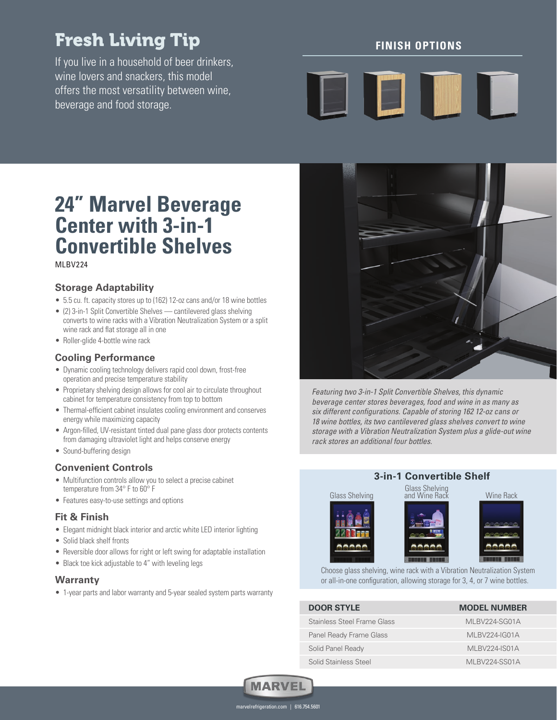# Fresh Living Tip

If you live in a household of beer drinkers, wine lovers and snackers, this model offers the most versatility between wine, beverage and food storage.

## **FINISH OPTIONS**

# $\blacksquare$

# **24" Marvel Beverage Center with 3-in-1 Convertible Shelves**

MI RV<sub>224</sub>

### **Storage Adaptability**

- 5.5 cu. ft. capacity stores up to (162) 12-oz cans and/or 18 wine bottles
- (2) 3-in-1 Split Convertible Shelves cantilevered glass shelving converts to wine racks with a Vibration Neutralization System or a split wine rack and flat storage all in one
- Roller-glide 4-bottle wine rack

#### **Cooling Performance**

- Dynamic cooling technology delivers rapid cool down, frost-free operation and precise temperature stability
- Proprietary shelving design allows for cool air to circulate throughout cabinet for temperature consistency from top to bottom
- Thermal-efficient cabinet insulates cooling environment and conserves energy while maximizing capacity
- Argon-filled, UV-resistant tinted dual pane glass door protects contents from damaging ultraviolet light and helps conserve energy
- Sound-buffering design

#### **Convenient Controls**

- Multifunction controls allow you to select a precise cabinet temperature from 34° F to 60° F
- Features easy-to-use settings and options

#### **Fit & Finish**

- Elegant midnight black interior and arctic white LED interior lighting
- Solid black shelf fronts
- Reversible door allows for right or left swing for adaptable installation
- Black toe kick adjustable to 4" with leveling legs

#### **Warranty**

• 1-year parts and labor warranty and 5-year sealed system parts warranty



Featuring two 3-in-1 Split Convertible Shelves, this dynamic beverage center stores beverages, food and wine in as many as six different configurations. Capable of storing 162 12-oz cans or 18 wine bottles, its two cantilevered glass shelves convert to wine storage with a Vibration Neutralization System plus a glide-out wine rack stores an additional four bottles.

## **3-in-1 Convertible Shelf**



Choose glass shelving, wine rack with a Vibration Neutralization System or all-in-one configuration, allowing storage for 3, 4, or 7 wine bottles.

| <b>DOOR STYLE</b>           | <b>MODEL NUMBER</b>  |
|-----------------------------|----------------------|
| Stainless Steel Frame Glass | MLBV224-SG01A        |
| Panel Ready Frame Glass     | MLBV224-IG01A        |
| Solid Panel Ready           | <b>MLBV224-IS01A</b> |
| Solid Stainless Steel       | MI BV224-SS01A       |



marvelrefrigeration.com | 616.754.5601